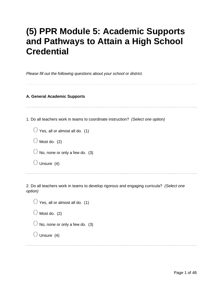# **(5) PPR Module 5: Academic Supports and Pathways to Attain a High School Credential**

*Please fill out the following questions about your school or district.*

#### **A. General Academic Supports**

1. Do all teachers work in teams to coordinate instruction? *(Select one option)*

| $\bigcirc$ Yes, all or almost all do. (1) |  |
|-------------------------------------------|--|
|-------------------------------------------|--|

- $\bigcirc$  Most do. (2)
- $\bigcirc$  No, none or only a few do. (3)
- $\bigcirc$  Unsure (4)

2. Do all teachers work in teams to develop rigorous and engaging curricula? *(Select one option)*

| $\bigcup$ Yes, all or almost all do. (1)  |  |
|-------------------------------------------|--|
| $\bigcup$ Most do. (2)                    |  |
| $\bigcirc$ No, none or only a few do. (3) |  |
| $\bigcup$ Unsure (4)                      |  |
|                                           |  |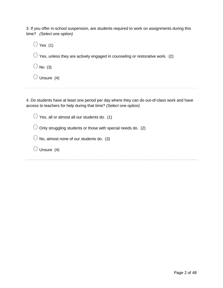3. If you offer in-school suspension, are students required to work on assignments during this time? *(Select one option)*

 $\bigcirc$  Yes (1)  $\bigcirc$  Yes, unless they are actively engaged in counseling or restorative work. (2)  $\bigcirc$  No (3)  $\bigcirc$  Unsure (4)

4. Do students have at least one period per day where they can do out-of-class work and have access to teachers for help during that time? *(Select one option)*

 $\bigcirc$  Yes, all or almost all our students do. (1)

 $\bigcirc$  Only struggling students or those with special needs do. (2)

 $\bigcirc$  No, almost none of our students do. (3)

 $\bigcirc$  Unsure (4)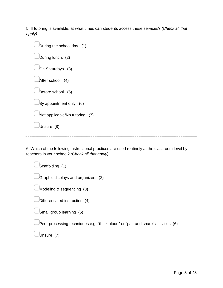5. If tutoring is available, at what times can students access these services? *(Check all that apply)*

| During the school day. (1) |                                 |  |
|----------------------------|---------------------------------|--|
| During lunch. (2)          |                                 |  |
| On Saturdays. (3)          |                                 |  |
| After school. (4)          |                                 |  |
| Before school. (5)         |                                 |  |
| By appointment only. (6)   |                                 |  |
|                            | Not applicable/No tutoring. (7) |  |
| Unsure (8)                 |                                 |  |
|                            |                                 |  |

6. Which of the following instructional practices are used routinely at the classroom level by teachers in your school? *(Check all that apply)*

| Scaffolding (1)                                                                  |
|----------------------------------------------------------------------------------|
| Graphic displays and organizers (2)                                              |
| Modeling & sequencing (3)                                                        |
| Differentiated instruction (4)                                                   |
| Small group learning (5)                                                         |
| Peer processing techniques e.g. "think aloud" or "pair and share" activities (6) |
| Unsure (7)                                                                       |
|                                                                                  |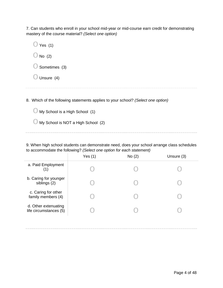7. Can students who enroll in your school mid-year or mid-course earn credit for demonstrating mastery of the course material? *(Select one option)*

| $\bigcirc$ Yes (1)       |  |  |
|--------------------------|--|--|
| $\bigcirc$ No (2)        |  |  |
| $\bigcirc$ Sometimes (3) |  |  |
| $\bigcirc$ Unsure (4)    |  |  |
|                          |  |  |

8. Which of the following statements applies to your school? *(Select one option)*

| $\bigcirc$ My School is a High School (1) |  |
|-------------------------------------------|--|
|-------------------------------------------|--|

| $\bigcirc$ My School is NOT a High School (2) |  |
|-----------------------------------------------|--|
|-----------------------------------------------|--|

9. When high school students can demonstrate need, does your school arrange class schedules to accommodate the following? *(Select one option for each statement)*

|                                                | Yes $(1)$ | No(2) | Unsure (3) |
|------------------------------------------------|-----------|-------|------------|
| a. Paid Employment                             |           |       |            |
| b. Caring for younger<br>siblings (2)          |           |       |            |
| c. Caring for other<br>family members (4)      |           |       |            |
| d. Other extenuating<br>life circumstances (5) |           |       |            |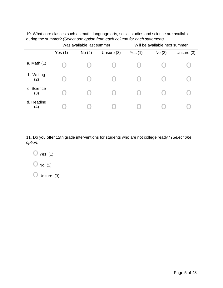| 10. What core classes such as math, language arts, social studies and science are available |  |  |  |
|---------------------------------------------------------------------------------------------|--|--|--|
| during the summer? (Select one option from each column for each statement)                  |  |  |  |

|                   | Was available last summer |       | Will be available next summer |           |       |            |
|-------------------|---------------------------|-------|-------------------------------|-----------|-------|------------|
|                   | Yes $(1)$                 | No(2) | Unsure (3)                    | Yes $(1)$ | No(2) | Unsure (3) |
| a. Math (1)       |                           |       |                               |           |       |            |
| b. Writing<br>(2) |                           |       |                               |           |       |            |
| c. Science<br>(3) |                           |       |                               |           |       |            |
| d. Reading<br>(4) |                           |       |                               |           |       |            |
|                   |                           |       |                               |           |       |            |

11. Do you offer 12th grade interventions for students who are not college ready? *(Select one option)*

 $\bigcirc$  Yes (1)  $\bigcirc$  No (2)  $\bigcirc$  Unsure (3)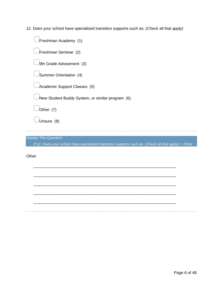12. Does your school have specialized transition supports such as: *(Check all that apply)*

| Freshman Academy (1)                                                                                 |
|------------------------------------------------------------------------------------------------------|
| Freshman Seminar (2)                                                                                 |
| 9th Grade Advisement (3)                                                                             |
| Summer Orientation (4)                                                                               |
| Academic Support Classes (5)                                                                         |
| New Student Buddy System, or similar program (6)                                                     |
| Other (7)                                                                                            |
| Unsure (8)                                                                                           |
|                                                                                                      |
| <b>Display This Question:</b>                                                                        |
| If 12. Does your school have specialized transition supports such as: (Check all that apply) = Other |

\_\_\_\_\_\_\_\_\_\_\_\_\_\_\_\_\_\_\_\_\_\_\_\_\_\_\_\_\_\_\_\_\_\_\_\_\_\_\_\_\_\_\_\_\_\_\_\_\_\_\_\_\_\_\_\_\_\_\_\_\_\_\_\_

\_\_\_\_\_\_\_\_\_\_\_\_\_\_\_\_\_\_\_\_\_\_\_\_\_\_\_\_\_\_\_\_\_\_\_\_\_\_\_\_\_\_\_\_\_\_\_\_\_\_\_\_\_\_\_\_\_\_\_\_\_\_\_\_

\_\_\_\_\_\_\_\_\_\_\_\_\_\_\_\_\_\_\_\_\_\_\_\_\_\_\_\_\_\_\_\_\_\_\_\_\_\_\_\_\_\_\_\_\_\_\_\_\_\_\_\_\_\_\_\_\_\_\_\_\_\_\_\_

\_\_\_\_\_\_\_\_\_\_\_\_\_\_\_\_\_\_\_\_\_\_\_\_\_\_\_\_\_\_\_\_\_\_\_\_\_\_\_\_\_\_\_\_\_\_\_\_\_\_\_\_\_\_\_\_\_\_\_\_\_\_\_\_

\_\_\_\_\_\_\_\_\_\_\_\_\_\_\_\_\_\_\_\_\_\_\_\_\_\_\_\_\_\_\_\_\_\_\_\_\_\_\_\_\_\_\_\_\_\_\_\_\_\_\_\_\_\_\_\_\_\_\_\_\_\_\_\_

**Other**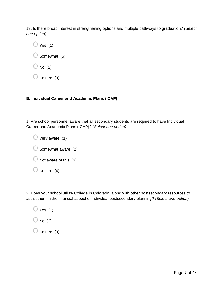13. Is there broad interest in strengthening options and multiple pathways to graduation? *(Select one option)*

 $\bigcirc$  Yes (1)

 $\bigcirc$  Somewhat (5)

 $\bigcirc$  No (2)

 $\bigcirc$  Unsure (3)

# **B. Individual Career and Academic Plans (ICAP)**

1. Are school personnel aware that all secondary students are required to have Individual

Career and Academic Plans (ICAP)? *(Select one option)*

 $\bigcirc$  Very aware (1)  $\bigcirc$  Somewhat aware (2)  $\bigcirc$  Not aware of this (3)  $\bigcirc$  Unsure (4)

2. Does your school utilize College in Colorado, along with other postsecondary resources to assist them in the financial aspect of individual postsecondary planning? *(Select one option)*

 $\bigcirc$  Yes (1)  $\bigcirc$  No (2)  $\bigcirc$  Unsure (3)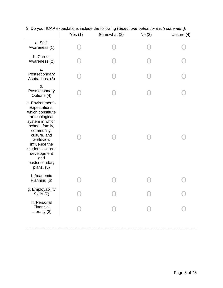|                                                                                                                                                                                                                                                     | Yes $(1)$ | Somewhat (2) | No(3) | Unsure (4) |
|-----------------------------------------------------------------------------------------------------------------------------------------------------------------------------------------------------------------------------------------------------|-----------|--------------|-------|------------|
| a. Self-<br>Awareness (1)                                                                                                                                                                                                                           |           |              |       |            |
| b. Career<br>Awareness (2)                                                                                                                                                                                                                          |           |              |       |            |
| c.<br>Postsecondary<br>Aspirations. (3)                                                                                                                                                                                                             |           |              |       |            |
| d.<br>Postsecondary<br>Options (4)                                                                                                                                                                                                                  |           |              |       |            |
| e. Environmental<br>Expectations,<br>which constitute<br>an ecological<br>system in which<br>school, family,<br>community,<br>culture, and<br>worldview<br>influence the<br>students' career<br>development<br>and<br>postsecondary<br>plans. $(5)$ |           |              |       |            |
| f. Academic<br>Planning (6)                                                                                                                                                                                                                         |           |              |       |            |
| g. Employability<br>Skills (7)                                                                                                                                                                                                                      |           |              |       |            |
| h. Personal<br>Financial<br>Literacy (8)                                                                                                                                                                                                            |           |              |       |            |
|                                                                                                                                                                                                                                                     |           |              |       |            |

# 3. Do your ICAP expectations include the following (*Select one option for each statement):*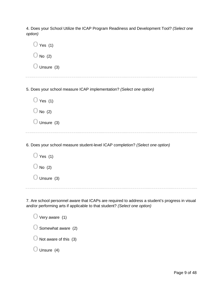4. Does your School Utilize the ICAP Program Readiness and Development Tool? *(Select one option)*

| Yes $(1)$                                                                      |
|--------------------------------------------------------------------------------|
| No $(2)$                                                                       |
| Unsure (3)                                                                     |
|                                                                                |
| 5. Does your school measure ICAP implementation? (Select one option)           |
| $\bigcirc$ Yes (1)                                                             |
| No $(2)$                                                                       |
| Unsure (3)                                                                     |
|                                                                                |
| 6. Does your school measure student-level ICAP completion? (Select one option) |
| $\bigcirc$ Yes (1)                                                             |
| No $(2)$                                                                       |
| Unsure (3)                                                                     |
|                                                                                |
|                                                                                |

7. Are school personnel aware that ICAPs are required to address a student's progress in visual and/or performing arts if applicable to that student? *(Select one option)*

 $\bigcirc$  Very aware (1)  $\bigcirc$  Somewhat aware (2)  $\bigcirc$  Not aware of this (3)  $\bigcirc$  Unsure (4)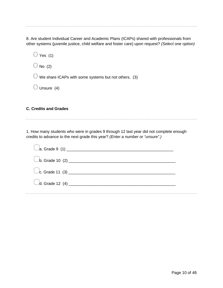8. Are student Individual Career and Academic Plans (ICAPs) shared with professionals from other systems (juvenile justice, child welfare and foster care) upon request? *(Select one option)*

 $\bigcirc$  Yes (1)

 $\bigcirc$  No (2)

 $\bigcirc$  We share ICAPs with some systems but not others. (3)

 $\bigcirc$  Unsure (4)

# **C. Credits and Grades**

1. How many students who were in grades 9 through 12 last year did not complete enough credits to advance to the next grade this year? *(Enter a number or "unsure".)*

| $\bigcup$ c. Grade 11 (3) $\bigcup$ |  |
|-------------------------------------|--|
|                                     |  |
|                                     |  |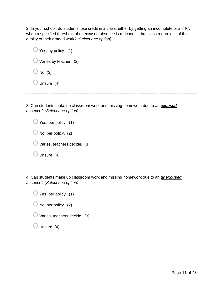2. In your school, do students lose credit in a class, either by getting an incomplete or an "F", when a specified threshold of unexcused absence is reached in that class regardless of the quality of their graded work? *(Select one option)*

| $\bigcirc$ Yes, by policy. (1)    |
|-----------------------------------|
| $\bigcirc$ Varies by teacher. (2) |
| $\bigcirc$ No (3)                 |
| $\bigcirc$ Unsure (4)             |
|                                   |

3. Can students make up classroom work and missing homework due to an *excused* absence? *(Select one option)*

| $\bigcirc$ Yes, per policy. (1)        |
|----------------------------------------|
| $\bigcirc$ No, per policy. (2)         |
| $\bigcup$ Varies, teachers decide. (3) |
| Unsure (4)                             |

4. Can students make up classroom work and missing homework due to an *unexcused* absence? *(Select one option)*

| $\bigcirc$ Yes, per policy. (1) |  |
|---------------------------------|--|
|---------------------------------|--|

|  |  |  | $\bigcirc$ No, per policy. (2) |  |
|--|--|--|--------------------------------|--|
|--|--|--|--------------------------------|--|

| $\bigcirc$ Varies, teachers decide. (3) |  |
|-----------------------------------------|--|
|-----------------------------------------|--|

| Unsure (4) |  |
|------------|--|
|------------|--|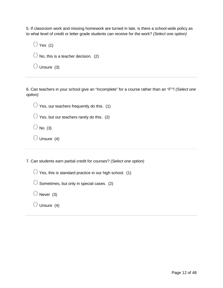5. If classroom work and missing homework are turned in late, is there a school-wide policy as to what level of credit or letter grade students can receive for the work? *(Select one option)*

| $\bigcirc$ Yes (1)                             |  |
|------------------------------------------------|--|
| $\bigcirc$ No, this is a teacher decision. (2) |  |
| $\bigcirc$ Unsure (3)                          |  |

6. Can teachers in your school give an "Incomplete" for a course rather than an "F"? *(Select one option)*

 $\bigcirc$  Yes, our teachers frequently do this. (1)

 $\bigcirc$  Yes, but our teachers rarely do this. (2)

- $\bigcirc$  No (3)
- $\bigcirc$  Unsure (4)

7. Can students earn partial credit for courses? *(Select one option)*

 $\bigcirc$  Yes, this is standard practice in our high school. (1)

- $\bigcirc$  Sometimes, but only in special cases. (2)
- $\bigcirc$  Never (3)
- $\bigcirc$  Unsure (4)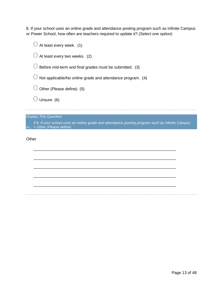8. If your school uses an online grade and attendance posting program such as Infinite Campus or Power School, how often are teachers required to update it? *(Select one option)*

 $\bigcirc$  At least every week. (1)  $\bigcirc$  At least every two weeks. (2)  $\bigcirc$  Before mid-term and final grades must be submitted. (3)  $\bigcirc$  Not applicable/No online grade and attendance program. (4)  $\bigcirc$  Other (Please define) (5)  $\bigcirc$  Unsure (6)

*Display This Question:*

*If 8. If your school uses an online grade and attendance posting program such as Infinite Campus or... = Other (Please define)*

\_\_\_\_\_\_\_\_\_\_\_\_\_\_\_\_\_\_\_\_\_\_\_\_\_\_\_\_\_\_\_\_\_\_\_\_\_\_\_\_\_\_\_\_\_\_\_\_\_\_\_\_\_\_\_\_\_\_\_\_\_\_\_\_

\_\_\_\_\_\_\_\_\_\_\_\_\_\_\_\_\_\_\_\_\_\_\_\_\_\_\_\_\_\_\_\_\_\_\_\_\_\_\_\_\_\_\_\_\_\_\_\_\_\_\_\_\_\_\_\_\_\_\_\_\_\_\_\_

\_\_\_\_\_\_\_\_\_\_\_\_\_\_\_\_\_\_\_\_\_\_\_\_\_\_\_\_\_\_\_\_\_\_\_\_\_\_\_\_\_\_\_\_\_\_\_\_\_\_\_\_\_\_\_\_\_\_\_\_\_\_\_\_

\_\_\_\_\_\_\_\_\_\_\_\_\_\_\_\_\_\_\_\_\_\_\_\_\_\_\_\_\_\_\_\_\_\_\_\_\_\_\_\_\_\_\_\_\_\_\_\_\_\_\_\_\_\_\_\_\_\_\_\_\_\_\_\_

\_\_\_\_\_\_\_\_\_\_\_\_\_\_\_\_\_\_\_\_\_\_\_\_\_\_\_\_\_\_\_\_\_\_\_\_\_\_\_\_\_\_\_\_\_\_\_\_\_\_\_\_\_\_\_\_\_\_\_\_\_\_\_\_

**Other**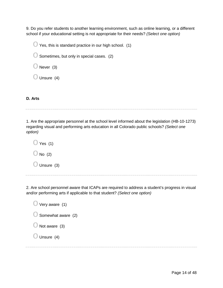9. Do you refer students to another learning environment, such as online learning, or a different school if your educational setting is not appropriate for their needs? *(Select one option)*

 $\bigcirc$  Yes, this is standard practice in our high school. (1)

 $\bigcirc$  Sometimes, but only in special cases. (2)

 $\bigcirc$  Never (3)

 $\bigcirc$  Unsure (4)

**D. Arts**

1. Are the appropriate personnel at the school level informed about the legislation (HB-10-1273) regarding visual and performing arts education in all Colorado public schools? *(Select one option)*

 $\bigcirc$  Yes (1)  $\bigcirc$  No (2)

 $\bigcirc$  Unsure (3)

2. Are school personnel aware that ICAPs are required to address a student's progress in visual and/or performing arts if applicable to that student? *(Select one option)*

 $\bigcirc$  Very aware (1)  $\bigcirc$  Somewhat aware (2)  $\bigcirc$  Not aware (3)  $\bigcirc$  Unsure (4)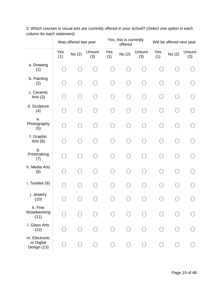|                                            |            | Was offered last year |               |                                               | Yes, this is currently<br>offered |               |            | Will be offered next year |               |
|--------------------------------------------|------------|-----------------------|---------------|-----------------------------------------------|-----------------------------------|---------------|------------|---------------------------|---------------|
|                                            | Yes<br>(1) | No(2)                 | Unsure<br>(3) | Yes<br>(1)                                    | No (2)                            | Unsure<br>(3) | Yes<br>(1) | No(2)                     | Unsure<br>(3) |
| a. Drawing<br>(1)                          |            |                       |               |                                               |                                   |               |            |                           |               |
| b. Painting<br>(2)                         |            | ר ז                   |               | $\left( \begin{array}{c} \end{array} \right)$ |                                   |               |            | ר ו                       |               |
| c. Ceramic<br>Arts $(3)$                   |            |                       |               |                                               |                                   |               |            |                           |               |
| d. Sculpture<br>(4)                        |            |                       |               |                                               |                                   |               |            |                           |               |
| е.<br>Photography<br>(5)                   |            |                       |               |                                               |                                   |               |            |                           |               |
| f. Graphic<br>Arts $(6)$                   |            |                       |               |                                               |                                   |               |            |                           |               |
| g.<br>Printmaking<br>(7)                   |            |                       |               |                                               |                                   |               |            |                           |               |
| h. Media Arts<br>(8)                       |            |                       |               |                                               |                                   |               |            |                           |               |
| i. Textiles (9)                            |            |                       |               |                                               |                                   |               |            |                           |               |
| j. Jewelry<br>(10)                         |            |                       |               |                                               |                                   |               |            |                           |               |
| k. Fine<br>Woodworking<br>(11)             |            |                       |               |                                               |                                   |               |            |                           |               |
| I. Glass Arts<br>(12)                      |            |                       |               |                                               |                                   |               |            |                           |               |
| m. Electronic<br>or Digital<br>Design (13) |            |                       |               |                                               |                                   |               |            |                           |               |

3. Which courses in visual arts are currently offered in your school? *(Select one option in each column for each statement)*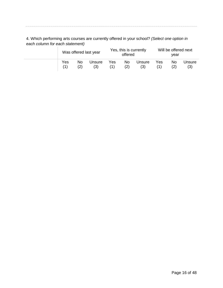4. Which performing arts courses are currently offered in your school? *(Select one option in each column for each statement)*

| Was offered last year |    |        |            | Yes, this is currently<br>offered |               |     | Will be offered next<br>vear |               |  |
|-----------------------|----|--------|------------|-----------------------------------|---------------|-----|------------------------------|---------------|--|
| Yes                   | No | Unsure | Yes<br>(1) | No.<br>(2)                        | Unsure<br>(3) | Yes | No.                          | Unsure<br>(3) |  |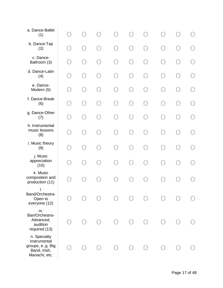| a. Dance-Ballet<br>(1)                                                            |  |               |        |  |  |  |
|-----------------------------------------------------------------------------------|--|---------------|--------|--|--|--|
| b. Dance-Tap<br>(2)                                                               |  |               |        |  |  |  |
| c. Dance-<br>Ballroom (3)                                                         |  | - 1           | $\Box$ |  |  |  |
| d. Dance-Latin<br>(4)                                                             |  |               |        |  |  |  |
| e. Dance-<br>Modern (5)                                                           |  |               |        |  |  |  |
| f. Dance-Break<br>(6)                                                             |  | $\mathcal{L}$ |        |  |  |  |
| g. Dance-Other<br>(7)                                                             |  |               |        |  |  |  |
| h. Instrumental<br>music lessons<br>(8)                                           |  |               |        |  |  |  |
| i. Music theory<br>(9)                                                            |  |               |        |  |  |  |
| j. Music<br>appreciation<br>(10)                                                  |  |               |        |  |  |  |
| k. Music<br>composition and<br>production (11)                                    |  |               |        |  |  |  |
| I.<br>Band/Orchestra-<br>Open to<br>everyone (12)                                 |  |               |        |  |  |  |
| m.<br>Ban/Orchestra-<br>Advanced,<br>audition<br>required (13)                    |  |               |        |  |  |  |
| n. Specialty<br>instrumental<br>groups, eg. Big<br>Band, Irish,<br>Mariachi, etc. |  |               |        |  |  |  |
|                                                                                   |  |               |        |  |  |  |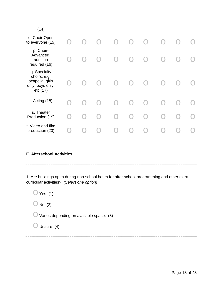| (14)                                                                            |           |                                               |                                               |           |        |  |  |
|---------------------------------------------------------------------------------|-----------|-----------------------------------------------|-----------------------------------------------|-----------|--------|--|--|
| o. Choir-Open<br>to everyone (15)                                               | $\bigcap$ | $\left( \begin{array}{c} \end{array} \right)$ | $\bigcap$                                     | $\bigcap$ |        |  |  |
| p. Choir-<br>Advanced,<br>audition<br>required (16)                             |           |                                               | $\left( \begin{array}{c} \end{array} \right)$ |           |        |  |  |
| q. Specialty<br>choirs, e.g.<br>acapella, girls<br>only, boys only,<br>etc (17) |           | $\left( \begin{array}{c} \end{array} \right)$ | $\bigcap$                                     |           |        |  |  |
| r. Acting (18)                                                                  |           |                                               | $\bigcap$                                     |           | $\Box$ |  |  |
| s. Theater<br>Production (19)                                                   |           | - 1                                           | $\rightarrow$                                 | O         |        |  |  |
| t. Video and film<br>production (20)                                            |           |                                               |                                               |           |        |  |  |
|                                                                                 |           |                                               |                                               |           |        |  |  |

#### **E. Afterschool Activities**

1. Are buildings open during non-school hours for after school programming and other extracurricular activities? *(Select one option)*

 $\bigcirc$  Yes (1)

 $\bigcirc$  No (2)

 $\bigcirc$  Varies depending on available space. (3)

 $\bigcirc$  Unsure (4)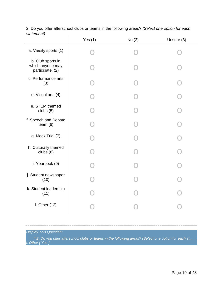|                                                           | Yes $(1)$ | No(2) | Unsure (3) |
|-----------------------------------------------------------|-----------|-------|------------|
| a. Varsity sports (1)                                     |           |       |            |
| b. Club sports in<br>which anyone may<br>participate. (2) |           |       |            |
| c. Performance arts<br>(3)                                |           |       |            |
| d. Visual arts (4)                                        |           |       |            |
| e. STEM themed<br>clubs (5)                               |           |       |            |
| f. Speech and Debate<br>team $(6)$                        |           |       |            |
| g. Mock Trial (7)                                         |           |       |            |
| h. Culturally themed<br>clubs $(8)$                       |           |       |            |
| i. Yearbook (9)                                           |           |       |            |
| j. Student newspaper<br>(10)                              |           |       |            |
| k. Student leadership<br>(11)                             |           |       |            |
| I. Other $(12)$                                           |           |       |            |

2. Do you offer afterschool clubs or teams in the following areas? *(Select one option for each statement)*

# *Display This Question:*

*If 2. Do you offer afterschool clubs or teams in the following areas? (Select one option for each st... = l. Other [ Yes ]*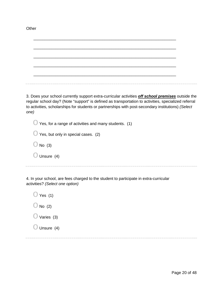| 3. Does your school currently support extra-curricular activities <i>off school premises</i> outside the<br>regular school day? (Note "support" is defined as transportation to activities, specialized referral<br>to activities, scholarships for students or partnerships with post-secondary institutions) (Select<br>one) |  |
|--------------------------------------------------------------------------------------------------------------------------------------------------------------------------------------------------------------------------------------------------------------------------------------------------------------------------------|--|
| Yes, for a range of activities and many students. (1)                                                                                                                                                                                                                                                                          |  |
| Yes, but only in special cases. (2)                                                                                                                                                                                                                                                                                            |  |
| No $(3)$                                                                                                                                                                                                                                                                                                                       |  |
| Unsure (4)                                                                                                                                                                                                                                                                                                                     |  |
|                                                                                                                                                                                                                                                                                                                                |  |

4. In your school, are fees charged to the student to participate in extra-curricular activities? *(Select one option)*

| $\bigcirc$ Yes (1)    |
|-----------------------|
| $\bigcirc$ No (2)     |
| $\bigcirc$ Varies (3) |
| $\bigcirc$ Unsure (4) |
|                       |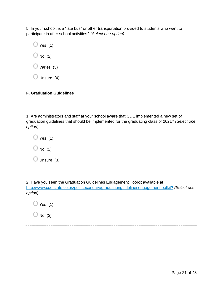5. In your school, is a "late bus" or other transportation provided to students who want to participate in after school activities? *(Select one option)*

 $\bigcirc$  Yes (1)  $\bigcirc$  No (2)  $\bigcirc$  Varies (3)  $\bigcirc$  Unsure (4)

#### **F. Graduation Guidelines**

1. Are administrators and staff at your school aware that CDE implemented a new set of graduation guidelines that should be implemented for the graduating class of 2021? *(Select one option)*

 $\bigcirc$  Yes (1)  $\bigcirc$  No (2)  $\bigcirc$  Unsure (3)

2. Have you seen the Graduation Guidelines Engagement Toolkit available at <http://www.cde.state.co.us/postsecondary/graduationguidelinesengagementtoolkit?> *(Select one option)*

 $\bigcirc$  Yes (1)

 $\bigcirc$  No (2)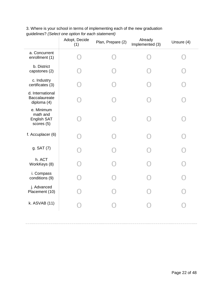|                                                       | Adopt, Decide<br>(1) | Plan, Prepare (2) | Already<br>Implemented (3) | Unsure (4) |
|-------------------------------------------------------|----------------------|-------------------|----------------------------|------------|
| a. Concurrent<br>enrollment (1)                       |                      |                   |                            |            |
| b. District<br>capstones (2)                          |                      |                   |                            |            |
| c. Industry<br>certificates (3)                       |                      |                   |                            |            |
| d. International<br>Baccalaureate<br>diploma (4)      |                      |                   |                            |            |
| e. Minimum<br>math and<br>English SAT<br>scores $(5)$ |                      |                   |                            |            |
| f. Accuplacer (6)                                     |                      |                   |                            |            |
| g. SAT (7)                                            |                      |                   |                            |            |
| h. ACT<br>WorkKeys (8)                                |                      |                   |                            |            |
| i. Compass<br>conditions (9)                          |                      |                   |                            |            |
| j. Advanced<br>Placement (10)                         |                      |                   |                            |            |
| k. ASVAB (11)                                         |                      |                   |                            |            |
|                                                       |                      |                   |                            |            |

3. Where is your school in terms of implementing each of the new graduation guidelines? *(Select one option for each statement)*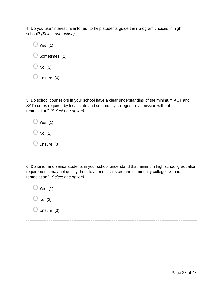4. Do you use "interest inventories" to help students guide their program choices in high school? *(Select one option)*

 $\bigcirc$  Yes (1)  $\bigcirc$  Sometimes (2)  $\bigcirc$  No (3)  $\bigcirc$  Unsure (4)

5. Do school counselors in your school have a clear understanding of the minimum ACT and SAT scores required by local state and community colleges for admission without remediation? *(Select one option)*

 $\bigcirc$  Yes (1)  $\bigcirc$  No (2)  $\bigcirc$  Unsure (3)

6. Do junior and senior students in your school understand that minimum high school graduation requirements may not qualify them to attend local state and community colleges without remediation? *(Select one option)*

 $\bigcirc$  Yes (1)  $\bigcirc$  No (2)  $\bigcirc$  Unsure (3)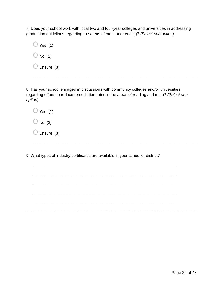7. Does your school work with local two and four-year colleges and universities in addressing graduation guidelines regarding the areas of math and reading? *(Select one option)*

| Yes (1)              |
|----------------------|
| $\bigcup$ No (2)     |
| $\bigcup$ Unsure (3) |

8. Has your school engaged in discussions with community colleges and/or universities regarding efforts to reduce remediation rates in the areas of reading and math? *(Select one option)*

| ∀es (1)<br>J  |  |
|---------------|--|
| $\cup$ No (2) |  |
| Unsure (3)    |  |

9. What types of industry certificates are available in your school or district?

\_\_\_\_\_\_\_\_\_\_\_\_\_\_\_\_\_\_\_\_\_\_\_\_\_\_\_\_\_\_\_\_\_\_\_\_\_\_\_\_\_\_\_\_\_\_\_\_\_\_\_\_\_\_\_\_\_\_\_\_\_\_\_\_

\_\_\_\_\_\_\_\_\_\_\_\_\_\_\_\_\_\_\_\_\_\_\_\_\_\_\_\_\_\_\_\_\_\_\_\_\_\_\_\_\_\_\_\_\_\_\_\_\_\_\_\_\_\_\_\_\_\_\_\_\_\_\_\_

\_\_\_\_\_\_\_\_\_\_\_\_\_\_\_\_\_\_\_\_\_\_\_\_\_\_\_\_\_\_\_\_\_\_\_\_\_\_\_\_\_\_\_\_\_\_\_\_\_\_\_\_\_\_\_\_\_\_\_\_\_\_\_\_

\_\_\_\_\_\_\_\_\_\_\_\_\_\_\_\_\_\_\_\_\_\_\_\_\_\_\_\_\_\_\_\_\_\_\_\_\_\_\_\_\_\_\_\_\_\_\_\_\_\_\_\_\_\_\_\_\_\_\_\_\_\_\_\_

\_\_\_\_\_\_\_\_\_\_\_\_\_\_\_\_\_\_\_\_\_\_\_\_\_\_\_\_\_\_\_\_\_\_\_\_\_\_\_\_\_\_\_\_\_\_\_\_\_\_\_\_\_\_\_\_\_\_\_\_\_\_\_\_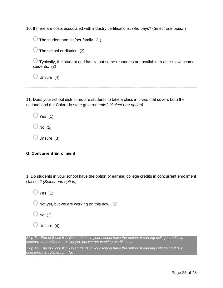10. If there are costs associated with industry certifications, who pays? (*Select one option*)

 $\bigcirc$  The student and his/her family. (1)

 $\bigcirc$  The school or district. (2)

 $\bigcirc$  Typically, the student and family, but some resources are available to assist low income students. (3)

 $\bigcirc$  Unsure (4)

11. Does your school district require students to take a class in civics that covers both the national and the Colorado state governments? *(Select one option)*

 $\bigcirc$  Yes (1)

 $\bigcirc$  No (2)

 $\bigcirc$  Unsure (3)

# **G. Concurrent Enrollment**

1. Do students in your school have the option of earning college credits in concurrent enrollment classes? *(Select one option)*

 $\bigcirc$  Yes (1)

 $\bigcirc$  Not yet, but we are working on this now. (2)

 $\bigcirc$  No (3)

 $\bigcirc$  Unsure (4)

*Skip To: End of Block If 1. Do students in your school have the option of earning college credits in concurrent enrollment... = Not yet, but we are working on this now.*

*Skip To: End of Block If 1. Do students in your school have the option of earning college credits in concurrent enrollment... = No*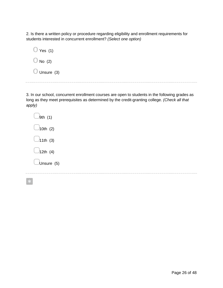2. Is there a written policy or procedure regarding eligibility and enrollment requirements for students interested in concurrent enrollment? *(Select one option)*

| ◯ Yes (1)            |  |
|----------------------|--|
| $\cup$ No (2)        |  |
| Unsure (3)<br>$\cup$ |  |

3. In our school, concurrent enrollment courses are open to students in the following grades as long as they meet prerequisites as determined by the credit-granting college. *(Check all that apply)*

| 9th (1)    |
|------------|
| 10th (2)   |
| 11th (3)   |
| 12th (4)   |
| Unsure (5) |
|            |

 $\ast$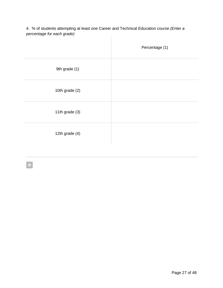4. % of students attempting at least one Career and Technical Education course *(Enter a percentage for each grade)*  $\begin{array}{c} \hline \end{array}$ 

|                | Percentage (1) |
|----------------|----------------|
| 9th grade (1)  |                |
| 10th grade (2) |                |
| 11th grade (3) |                |
| 12th grade (4) |                |
|                |                |

 $\ast$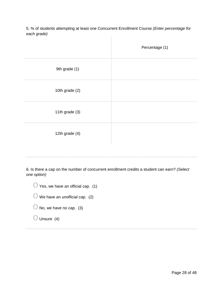5. % of students attempting at least one Concurrent Enrollment Course *(Enter percentage for each grade)*  $\begin{array}{c} \hline \end{array}$ 

|                | Percentage (1) |
|----------------|----------------|
| 9th grade (1)  |                |
| 10th grade (2) |                |
| 11th grade (3) |                |
| 12th grade (4) |                |

6. Is there a cap on the number of concurrent enrollment credits a student can earn? *(Select one option)*

| $\bigcup$ Yes, we have an official cap. (1) |  |
|---------------------------------------------|--|
| $\bigcup$ We have an unofficial cap. (2)    |  |
| $\bigcup$ No, we have no cap. (3)           |  |
| $\bigcirc$ Unsure (4)                       |  |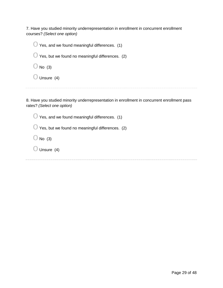7. Have you studied minority underrepresentation in enrollment in concurrent enrollment courses? *(Select one option)*

 $\bigcirc$  Yes, and we found meaningful differences. (1)  $\bigcirc$  Yes, but we found no meaningful differences. (2)  $\bigcirc$  No (3)  $\bigcirc$  Unsure (4)

8. Have you studied minority underrepresentation in enrollment in concurrent enrollment pass rates? *(Select one option)*

 $\bigcirc$  Yes, and we found meaningful differences. (1)

 $\bigcirc$  Yes, but we found no meaningful differences. (2)

 $\bigcirc$  No (3)

 $\bigcirc$  Unsure (4)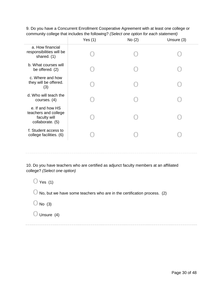|                                                                              | Yes $(1)$ | No(2) | Unsure (3) |
|------------------------------------------------------------------------------|-----------|-------|------------|
| a. How financial<br>responsibilities will be<br>shared. (1)                  |           |       |            |
| b. What courses will<br>be offered. (2)                                      |           |       |            |
| c. Where and how<br>they will be offered.<br>(3)                             |           |       |            |
| d. Who will teach the<br>courses. $(4)$                                      |           |       |            |
| e. If and how HS<br>teachers and college<br>faculty will<br>collaborate. (5) |           |       |            |
| f. Student access to<br>college facilities. (6)                              |           |       |            |
|                                                                              |           |       |            |

9. Do you have a Concurrent Enrollment Cooperative Agreement with at least one college or community college that includes the following? *(Select one option for each statement)*

10. Do you have teachers who are certified as adjunct faculty members at an affiliated college? *(Select one option)*

 $\bigcirc$  Yes (1)

 $\bigcirc$  No, but we have some teachers who are in the certification process. (2)

 $\bigcirc$  No (3)

 $\bigcirc$  Unsure (4)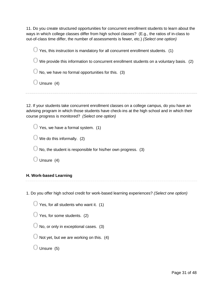11. Do you create structured opportunities for concurrent enrollment students to learn about the ways in which college classes differ from high school classes? (E.g., the ratios of in-class to out-of-class time differ, the number of assessments is fewer, etc.) *(Select one option)*

 $\bigcirc$  Yes, this instruction is mandatory for all concurrent enrollment students. (1)

 $\bigcirc$  We provide this information to concurrent enrollment students on a voluntary basis. (2)

 $\bigcirc$  No, we have no formal opportunities for this. (3)

 $\bigcirc$  Unsure (4)

12. If your students take concurrent enrollment classes on a college campus, do you have an advising program in which those students have check-ins at the high school and in which their course progress is monitored? *(Select one option)*

| $\bigcirc$ Yes, we have a formal system. (1) |  |
|----------------------------------------------|--|
|----------------------------------------------|--|

 $\bigcirc$  We do this informally. (2)

 $\bigcirc$  No, the student is responsible for his/her own progress. (3)

 $\bigcirc$  Unsure (4)

#### **H. Work-based Learning**

1. Do you offer high school credit for work-based learning experiences? *(Select one option)*

- $\bigcirc$  Yes, for all students who want it. (1)
- $\bigcirc$  Yes, for some students. (2)
- $\bigcirc$  No, or only in exceptional cases. (3)
- $\bigcirc$  Not yet, but we are working on this. (4)
- $\bigcirc$  Unsure (5)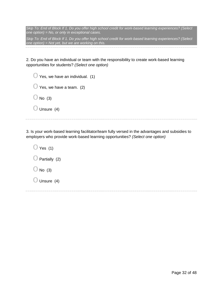*Skip To: End of Block If 1. Do you offer high school credit for work-based learning experiences? (Select one option) = No, or only in exceptional cases.*

*Skip To: End of Block If 1. Do you offer high school credit for work-based learning experiences? (Select one option) = Not yet, but we are working on this.*

2. Do you have an individual or team with the responsibility to create work-based learning opportunities for students? *(Select one option)*

| $\bigcup$ Yes, we have an individual. (1) |  |
|-------------------------------------------|--|
| $\bigcup$ Yes, we have a team. (2)        |  |
| $\bigcirc$ No (3)                         |  |
| $\bigcup$ Unsure (4)                      |  |

3. Is your work-based learning facilitator/team fully versed in the advantages and subsidies to employers who provide work-based learning opportunities? *(Select one option)*

 $\bigcirc$  Yes (1)  $\bigcirc$  Partially (2)  $\bigcirc$  No (3)  $\bigcirc$  Unsure (4)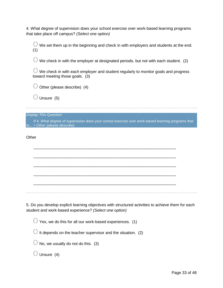4. What degree of supervision does your school exercise over work-based learning programs that take place off campus? *(Select one option)*

 $\bigcirc$  We set them up in the beginning and check in with employers and students at the end. (1)

 $\bigcirc$  We check in with the employer at designated periods, but not with each student. (2)

 $\bigcirc$  We check in with each employer and student regularly to monitor goals and progress toward meeting those goals. (3)

 $\bigcirc$  Other (please describe) (4)

 $\bigcirc$  Unsure (5)

*Display This Question:*

*If 4. What degree of supervision does your school exercise over work-based learning programs that ta... = Other (please describe)*

\_\_\_\_\_\_\_\_\_\_\_\_\_\_\_\_\_\_\_\_\_\_\_\_\_\_\_\_\_\_\_\_\_\_\_\_\_\_\_\_\_\_\_\_\_\_\_\_\_\_\_\_\_\_\_\_\_\_\_\_\_\_\_\_

\_\_\_\_\_\_\_\_\_\_\_\_\_\_\_\_\_\_\_\_\_\_\_\_\_\_\_\_\_\_\_\_\_\_\_\_\_\_\_\_\_\_\_\_\_\_\_\_\_\_\_\_\_\_\_\_\_\_\_\_\_\_\_\_

\_\_\_\_\_\_\_\_\_\_\_\_\_\_\_\_\_\_\_\_\_\_\_\_\_\_\_\_\_\_\_\_\_\_\_\_\_\_\_\_\_\_\_\_\_\_\_\_\_\_\_\_\_\_\_\_\_\_\_\_\_\_\_\_

\_\_\_\_\_\_\_\_\_\_\_\_\_\_\_\_\_\_\_\_\_\_\_\_\_\_\_\_\_\_\_\_\_\_\_\_\_\_\_\_\_\_\_\_\_\_\_\_\_\_\_\_\_\_\_\_\_\_\_\_\_\_\_\_

\_\_\_\_\_\_\_\_\_\_\_\_\_\_\_\_\_\_\_\_\_\_\_\_\_\_\_\_\_\_\_\_\_\_\_\_\_\_\_\_\_\_\_\_\_\_\_\_\_\_\_\_\_\_\_\_\_\_\_\_\_\_\_\_

**Other** 

5. Do you develop explicit learning objectives with structured activities to achieve them for each student and work-based experience? *(Select one option)*

 $\bigcirc$  Yes, we do this for all our work-based experiences. (1)

 $\bigcirc$  It depends on the teacher supervisor and the situation. (2)

 $\bigcup$  No, we usually do not do this. (3)

 $\bigcirc$  Unsure (4)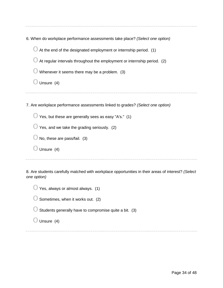| 6. When do workplace performance assessments take place? (Select one option) |  |  |
|------------------------------------------------------------------------------|--|--|
|------------------------------------------------------------------------------|--|--|

 $\bigcirc$  At the end of the designated employment or internship period. (1)

 $\bigcirc$  At regular intervals throughout the employment or internship period. (2)

 $\bigcirc$  Whenever it seems there may be a problem. (3)

 $\bigcirc$  Unsure (4)

7. Are workplace performance assessments linked to grades? *(Select one option)*

 $\bigcirc$  Yes, but these are generally sees as easy "A's." (1)

 $\bigcirc$  Yes, and we take the grading seriously. (2)

 $\bigcirc$  No, these are pass/fail. (3)

 $\bigcirc$  Unsure (4)

8. Are students carefully matched with workplace opportunities in their areas of interest? *(Select one option)*

| Yes, always or almost always. (1)                      |  |
|--------------------------------------------------------|--|
| Sometimes, when it works out. (2)                      |  |
| Students generally have to compromise quite a bit. (3) |  |
| Unsure $(4)$                                           |  |
|                                                        |  |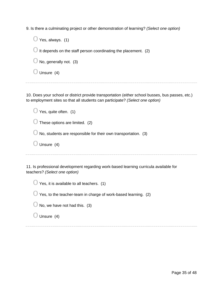9. Is there a culminating project or other demonstration of learning? *(Select one option)*

| Yes, always. (1)                                               |
|----------------------------------------------------------------|
| It depends on the staff person coordinating the placement. (2) |
| No, generally not. (3)                                         |
| Unsure $(4)$                                                   |
|                                                                |

10. Does your school or district provide transportation (either school busses, bus passes, etc.) to employment sites so that all students can participate? *(Select one option)*

| Yes, quite often. (1)                                                               |
|-------------------------------------------------------------------------------------|
| These options are limited. (2)                                                      |
| No, students are responsible for their own transportation. (3)                      |
| Unsure (4)                                                                          |
|                                                                                     |
| 1 Is professional development regarding work-based learning curricula available for |

11. Is professional development regarding work-based learning curricula available for teachers? *(Select one option)*

| $\bigcirc$ Yes, it is available to all teachers. (1) |  |
|------------------------------------------------------|--|
|------------------------------------------------------|--|

| $\bigcirc$ Yes, to the teacher-team in charge of work-based learning. (2) |  |
|---------------------------------------------------------------------------|--|
|---------------------------------------------------------------------------|--|

| $\bigcirc$ No, we have not had this. (3) |  |
|------------------------------------------|--|
|------------------------------------------|--|

 $\bigcirc$  Unsure (4)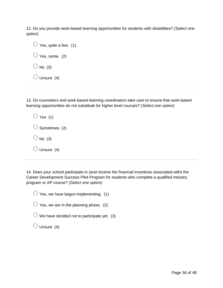12. Do you provide work-based learning opportunities for students with disabilities? *(Select one option)*

13. Do counselors and work-based learning coordinators take care to ensure that work-based learning opportunities do not substitute for higher level courses? *(Select one option)*

| ) Yes (1)                |
|--------------------------|
| $\bigcirc$ Sometimes (2) |
| $\bigcup$ No (3)         |
| $\bigcirc$ Unsure (4)    |

14. Does your school participate in (and receive the financial incentives associated with) the Career Development Success Pilot Program for students who complete a qualified industry program or AP course? *(Select one option)*

 $\bigcirc$  Yes, we have begun implementing. (1)

 $\bigcirc$  Yes, we are in the planning phase. (2)

 $\bigcirc$  We have decided not to participate yet. (3)

 $\bigcirc$  Unsure (4)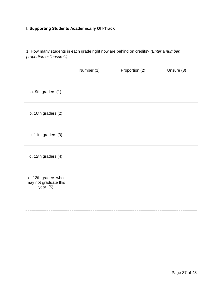#### **I. Supporting Students Academically Off-Track**

1. How many students in each grade right now are behind on credits? *(Enter a number, proportion or "unsure".)*  $\sim$  100  $\pm$  $\mathbf{L}$ 

|                                                             | Number (1) | Proportion (2) | Unsure (3) |
|-------------------------------------------------------------|------------|----------------|------------|
| a. 9th graders (1)                                          |            |                |            |
| b. 10th graders (2)                                         |            |                |            |
| c. 11th graders (3)                                         |            |                |            |
| d. 12th graders (4)                                         |            |                |            |
| e. 12th graders who<br>may not graduate this<br>year. $(5)$ |            |                |            |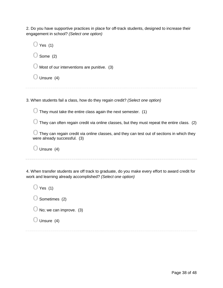2. Do you have supportive practices in place for off-track students, designed to increase their engagement in school? *(Select one option)*

| Yes $(1)$                                                                                                                  |
|----------------------------------------------------------------------------------------------------------------------------|
| Some (2)                                                                                                                   |
| Most of our interventions are punitive. (3)                                                                                |
| Unsure (4)                                                                                                                 |
|                                                                                                                            |
| 3. When students fail a class, how do they regain credit? (Select one option)                                              |
| They must take the entire class again the next semester. (1)                                                               |
| They can often regain credit via online classes, but they must repeat the entire class. (2)                                |
| They can regain credit via online classes, and they can test out of sections in which they<br>were already successful. (3) |

 $\bigcirc$  Unsure (4)

4. When transfer students are off track to graduate, do you make every effort to award credit for work and learning already accomplished? *(Select one option)*

 $\bigcirc$  Yes (1)  $\bigcirc$  Sometimes (2)  $\bigcirc$  No; we can improve. (3)  $\bigcirc$  Unsure (4)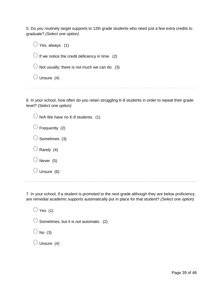5. Do you routinely target supports to 12th grade students who need just a few extra credits to graduate? *(Select one option)*

| Yes, always. (1)                                |
|-------------------------------------------------|
| If we notice the credit deficiency in time. (2) |
| Not usually; there is not much we can do. (3)   |
| Unsure (4)                                      |
|                                                 |

6. In your school, how often do you retain struggling K-8 students in order to repeat their grade level? *(Select one option)*

| $\bigcirc$ N/A We have no K-8 students. (1) |
|---------------------------------------------|
| $\bigcup$ Frequently (2)                    |
| $\bigcirc$ Sometimes (3)                    |
| $\bigcirc$ Rarely (4)                       |
| $\bigcirc$ Never (5)                        |
| $\bigcirc$ Unsure (6)                       |
|                                             |

7. In your school, if a student is promoted to the next grade although they are below proficiency, are remedial academic supports automatically put in place for that student? *(Select one option)*

 $\bigcirc$  Yes (1)  $\bigcirc$  Sometimes, but it is not automatic. (2)  $\bigcirc$  No (3)  $\bigcirc$  Unsure (4)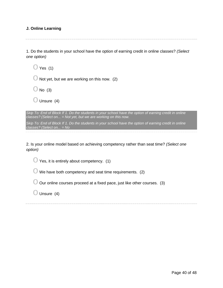#### **J. Online Learning**

1. Do the students in your school have the option of earning credit in online classes? *(Select one option)*

 $\bigcirc$  Yes (1)  $\bigcirc$  Not yet, but we are working on this now. (2)  $\bigcirc$  No (3)  $\bigcirc$  Unsure (4) *Skip To: End of Block If 1. Do the students in your school have the option of earning credit in online classes? (Select on... = Not yet, but we are working on this now. Skip To: End of Block If 1. Do the students in your school have the option of earning credit in online classes? (Select on... = No*

2. Is your online model based on achieving competency rather than seat time? *(Select one option)*

 $\bigcirc$  Yes, it is entirely about competency. (1)

 $\bigcirc$  We have both competency and seat time requirements. (2)

 $\bigcirc$  Our online courses proceed at a fixed pace, just like other courses. (3)

 $\bigcirc$  Unsure (4)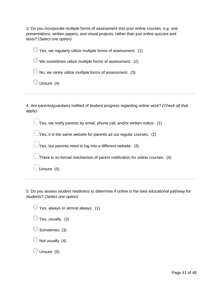3. Do you incorporate multiple forms of assessment into your online courses, e.g. oral presentations, written papers, and visual projects, rather than just online quizzes and tests? *(Select one option)*

 $\bigcirc$  Yes, we regularly utilize multiple forms of assessment. (1)  $\bigcirc$  We sometimes utilize multiple forms of assessment. (2)  $\bigcirc$  No, we rarely utilize multiple forms of assessment. (3)  $\bigcirc$  Unsure (4) 4. Are parents/guardians notified of student progress regarding online work? *(Check all that apply)*

 $\lambda$ Yes, we notify parents by email, phone call, and/or written notice. (1)

 $\Box$ Yes, it is the same website for parents as our regular courses. (2)

 $\mathcal N$ es, but parents need to log into a different website. (3)

▢There is no formal mechanism of parent notification for online courses. (4)

▢Unsure (5)

5. Do you assess student readiness to determine if online is the best educational pathway for students? *(Select one option)*

 $\bigcirc$  Yes, always or almost always. (1)  $\bigcirc$  Yes, usually. (2)  $\bigcirc$  Sometimes (3)

 $\bigcirc$  Not usually (4)

 $\bigcirc$  Unsure (5)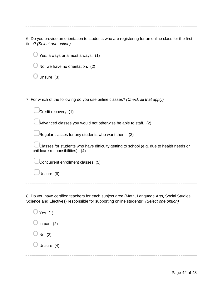6. Do you provide an orientation to students who are registering for an online class for the first time? *(Select one option)*

| Yes, always or almost always. (1)                                                                                           |
|-----------------------------------------------------------------------------------------------------------------------------|
| No, we have no orientation. (2)                                                                                             |
| Unsure (3)                                                                                                                  |
|                                                                                                                             |
| 7. For which of the following do you use online classes? (Check all that apply)                                             |
| Credit recovery (1)                                                                                                         |
| Advanced classes you would not otherwise be able to staff. (2)                                                              |
| Regular classes for any students who want them. (3)                                                                         |
| Classes for students who have difficulty getting to school (e.g. due to health needs or<br>childcare responsibilities). (4) |
| Concurrent enrollment classes (5)                                                                                           |
| Unsure (6)                                                                                                                  |
|                                                                                                                             |

8. Do you have certified teachers for each subject area (Math, Language Arts, Social Studies, Science and Electives) responsible for supporting online students? *(Select one option)*

 $\bigcirc$  Yes (1)  $\bigcirc$  In part (2)  $\bigcirc$  No (3)  $\bigcirc$  Unsure (4)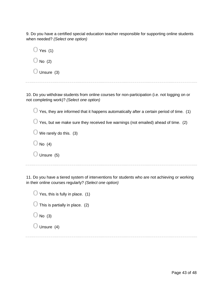9. Do you have a certified special education teacher responsible for supporting online students when needed? *(Select one option)*

| $\cup$ Yes (1)       |  |
|----------------------|--|
| $\bigcup$ No (2)     |  |
| $\bigcup$ Unsure (3) |  |

10. Do you withdraw students from online courses for non-participation (i.e. not logging on or not completing work)? *(Select one option)*

 $\bigcirc$  Yes, they are informed that it happens automatically after a certain period of time. (1)  $\bigcirc$  Yes, but we make sure they received live warnings (not emailed) ahead of time. (2)  $\bigcirc$  We rarely do this. (3)  $\bigcirc$  No (4)  $\bigcirc$  Unsure (5)

11. Do you have a tiered system of interventions for students who are not achieving or working in their online courses regularly? *(Select one option)*

| $\bigcup$ Yes, this is fully in place. (1) |
|--------------------------------------------|
| $\bigcup$ This is partially in place. (2)  |
| $\bigcirc$ No (3)                          |
| $\bigcirc$ Unsure (4)                      |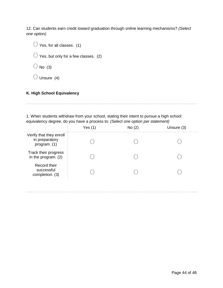12. Can students earn credit toward graduation through online learning mechanisms? *(Select one option)*

 $\bigcirc$  Yes, for all classes. (1)

 $\bigcirc$  Yes, but only for a few classes. (2)

 $\bigcirc$  No (3)

 $\bigcirc$  Unsure (4)

# **K. High School Equivalency**

1. When students withdraw from your school, stating their intent to pursue a high school equivalency degree, do you have a process to: *(Select one option per statement)*

|                                                           | Yes $(1)$ | No(2) | Unsure (3) |
|-----------------------------------------------------------|-----------|-------|------------|
| Verify that they enroll<br>in preparatory<br>program. (1) |           |       |            |
| Track their progress<br>in the program. (2)               |           |       |            |
| Record their<br>successful<br>completion. (3)             |           |       |            |
|                                                           |           |       |            |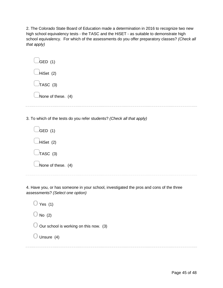2. The Colorado State Board of Education made a determination in 2016 to recognize two new high school equivalency tests - the TASC and the HiSET - as suitable to demonstrate high school equivalency. For which of the assessments do you offer preparatory classes? *(Check all that apply)*

| $\bigcup$ GED (1)  |  |  |
|--------------------|--|--|
| Hiset(2)           |  |  |
| $\bigcup$ TASC (3) |  |  |
| None of these. (4) |  |  |
|                    |  |  |

3. To which of the tests do you refer students? *(Check all that apply)*

| $\bigcup$ GED (1)  |
|--------------------|
| $\Box$ HiSet (2)   |
| $\bigcup$ TASC (3) |
| None of these. (4) |
|                    |

4. Have you, or has someone in your school, investigated the pros and cons of the three assessments? *(Select one option)*

 $\bigcirc$  Yes (1)  $\bigcirc$  No (2)  $\bigcirc$  Our school is working on this now. (3)  $\bigcirc$  Unsure (4)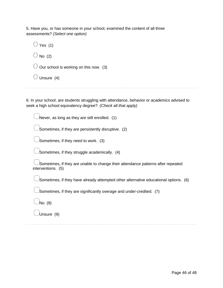5. Have you, or has someone in your school, examined the content of all three assessments? *(Select one option)*

| Yes $(1)$                                         |  |
|---------------------------------------------------|--|
| $\bigcirc$ No (2)                                 |  |
| $\bigcirc$ Our school is working on this now. (3) |  |
| $\bigcirc$ Unsure (4)                             |  |
|                                                   |  |

6. In your school, are students struggling with attendance, behavior or academics advised to seek a high school equivalency degree? *(Check all that apply)*

Never, as long as they are still enrolled. (1)

Sometimes, if they are persistently disruptive. (2)

Sometimes, if they need to work. (3)

Sometimes, if they struggle academically. (4)

Sometimes, if they are unable to change their attendance patterns after repeated interventions. (5)

Sometimes, if they have already attempted other alternative educational options. (6)

Sometimes, if they are significantly overage and under-credited. (7)

▢No (8)

Unsure (9)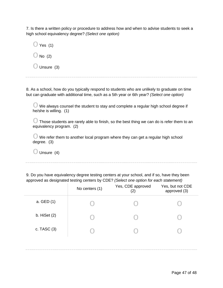7. Is there a written policy or procedure to address how and when to advise students to seek a high school equivalency degree? *(Select one option)*

| $\bigcup$ Yes (1)     |  |
|-----------------------|--|
| $\bigcup$ No (2)      |  |
| $\bigcirc$ Unsure (3) |  |

8. As a school, how do you typically respond to students who are unlikely to graduate on time but can graduate with additional time, such as a 5th year or 6th year? *(Select one option)*

 $\bigcirc$  We always counsel the student to stay and complete a regular high school degree if he/she is willing. (1)

 $\bigcirc$  Those students are rarely able to finish, so the best thing we can do is refer them to an equivalency program. (2)

 $\bigcirc$  We refer them to another local program where they can get a regular high school degree. (3)

 $\bigcirc$  Unsure (4)

9. Do you have equivalency degree testing centers at your school, and if so, have they been approved as designated testing centers by CDE? *(Select one option for each statement)*

|                | No centers (1) | Yes, CDE approved<br>(2) | Yes, but not CDE<br>approved (3) |
|----------------|----------------|--------------------------|----------------------------------|
| a. GED (1)     |                |                          |                                  |
| b. HiSet $(2)$ |                |                          |                                  |
| c. TASC $(3)$  |                |                          |                                  |
|                |                |                          |                                  |